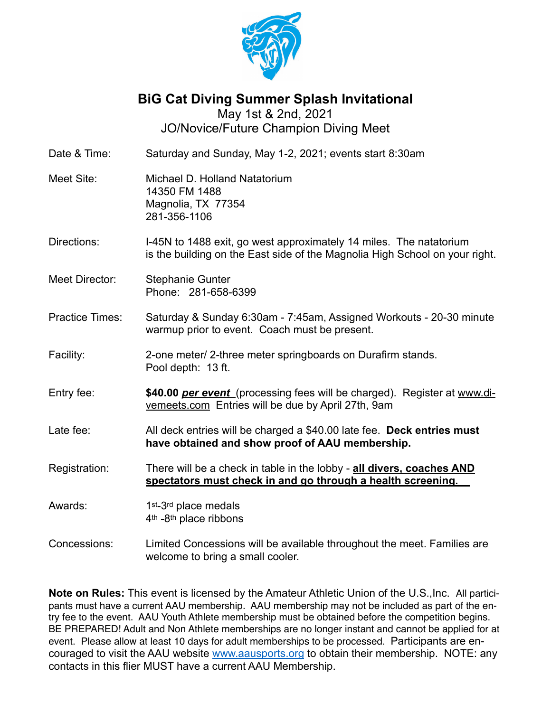

**BiG Cat Diving Summer Splash Invitational**

May 1st & 2nd, 2021 JO/Novice/Future Champion Diving Meet

| Date & Time:           | Saturday and Sunday, May 1-2, 2021; events start 8:30am                                                                                           |  |  |  |  |
|------------------------|---------------------------------------------------------------------------------------------------------------------------------------------------|--|--|--|--|
| Meet Site:             | Michael D. Holland Natatorium<br>14350 FM 1488<br>Magnolia, TX 77354<br>281-356-1106                                                              |  |  |  |  |
| Directions:            | I-45N to 1488 exit, go west approximately 14 miles. The natatorium<br>is the building on the East side of the Magnolia High School on your right. |  |  |  |  |
| Meet Director:         | <b>Stephanie Gunter</b><br>Phone: 281-658-6399                                                                                                    |  |  |  |  |
| <b>Practice Times:</b> | Saturday & Sunday 6:30am - 7:45am, Assigned Workouts - 20-30 minute<br>warmup prior to event. Coach must be present.                              |  |  |  |  |
| Facility:              | 2-one meter/ 2-three meter springboards on Durafirm stands.<br>Pool depth: 13 ft.                                                                 |  |  |  |  |
| Entry fee:             | \$40.00 per event (processing fees will be charged). Register at www.di-<br>vemeets.com Entries will be due by April 27th, 9am                    |  |  |  |  |
| Late fee:              | All deck entries will be charged a \$40.00 late fee. Deck entries must<br>have obtained and show proof of AAU membership.                         |  |  |  |  |
| Registration:          | There will be a check in table in the lobby - all divers, coaches AND<br>spectators must check in and go through a health screening.              |  |  |  |  |
| Awards:                | 1 <sup>st</sup> -3 <sup>rd</sup> place medals<br>4 <sup>th</sup> -8 <sup>th</sup> place ribbons                                                   |  |  |  |  |
| Concessions:           | Limited Concessions will be available throughout the meet. Families are<br>welcome to bring a small cooler.                                       |  |  |  |  |

**Note on Rules:** This event is licensed by the Amateur Athletic Union of the U.S.,Inc. All participants must have a current AAU membership. AAU membership may not be included as part of the entry fee to the event. AAU Youth Athlete membership must be obtained before the competition begins. BE PREPARED! Adult and Non Athlete memberships are no longer instant and cannot be applied for at event. Please allow at least 10 days for adult memberships to be processed. Participants are encouraged to visit the AAU website [www.aausports.org](http://www.aausports.org/) to obtain their membership. NOTE: any contacts in this flier MUST have a current AAU Membership.